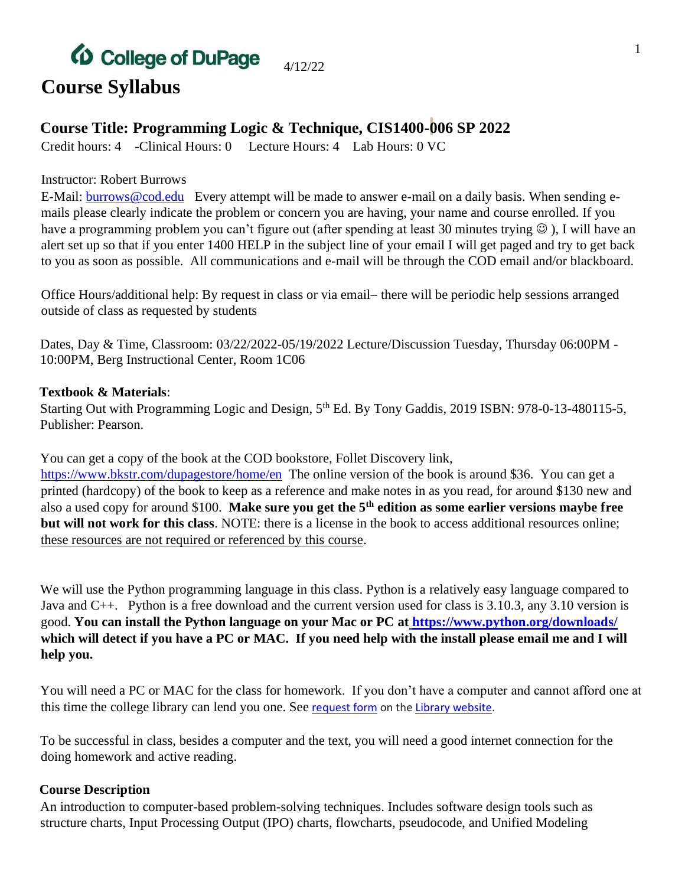### *(D* College of DuPage 4/12/22 **Course Syllabus**

### **Course Title: Programming Logic & Technique, CIS1400-006 SP 2022**

Credit hours: 4 -Clinical Hours: 0 Lecture Hours: 4 Lab Hours: 0 VC

#### Instructor: Robert Burrows

E-Mail: **burrows@cod.edu** Every attempt will be made to answer e-mail on a daily basis. When sending emails please clearly indicate the problem or concern you are having, your name and course enrolled. If you have a programming problem you can't figure out (after spending at least 30 minutes trying  $\odot$ ), I will have an alert set up so that if you enter 1400 HELP in the subject line of your email I will get paged and try to get back to you as soon as possible. All communications and e-mail will be through the COD email and/or blackboard.

Office Hours/additional help: By request in class or via email– there will be periodic help sessions arranged outside of class as requested by students

Dates, Day & Time, Classroom: 03/22/2022-05/19/2022 Lecture/Discussion Tuesday, Thursday 06:00PM - 10:00PM, Berg Instructional Center, Room 1C06

### **Textbook & Materials**:

Starting Out with Programming Logic and Design, 5<sup>th</sup> Ed. By Tony Gaddis, 2019 ISBN: 978-0-13-480115-5, Publisher: Pearson.

You can get a copy of the book at the COD bookstore, Follet Discovery link,

<https://www.bkstr.com/dupagestore/home/en> The online version of the book is around \$36. You can get a printed (hardcopy) of the book to keep as a reference and make notes in as you read, for around \$130 new and also a used copy for around \$100. **Make sure you get the 5th edition as some earlier versions maybe free but will not work for this class**. NOTE: there is a license in the book to access additional resources online; these resources are not required or referenced by this course.

We will use the Python programming language in this class. Python is a relatively easy language compared to Java and C++. Python is a free download and the current version used for class is 3.10.3, any 3.10 version is good. **You can install the Python language on your Mac or PC a[t](%20) <https://www.python.org/downloads/> which will detect if you have a PC or MAC. If you need help with the install please email me and I will help you.**

You will need a PC or MAC for the class for homework. If you don't have a computer and cannot afford one at this tim[e](https://cod.libwizard.com/f/laptops) the college library can lend you one. See [request form](https://cod.libwizard.com/f/laptops) on the [Library website.](https://library.cod.edu/)

To be successful in class, besides a computer and the text, you will need a good internet connection for the doing homework and active reading.

### **Course Description**

An introduction to computer-based problem-solving techniques. Includes software design tools such as structure charts, Input Processing Output (IPO) charts, flowcharts, pseudocode, and Unified Modeling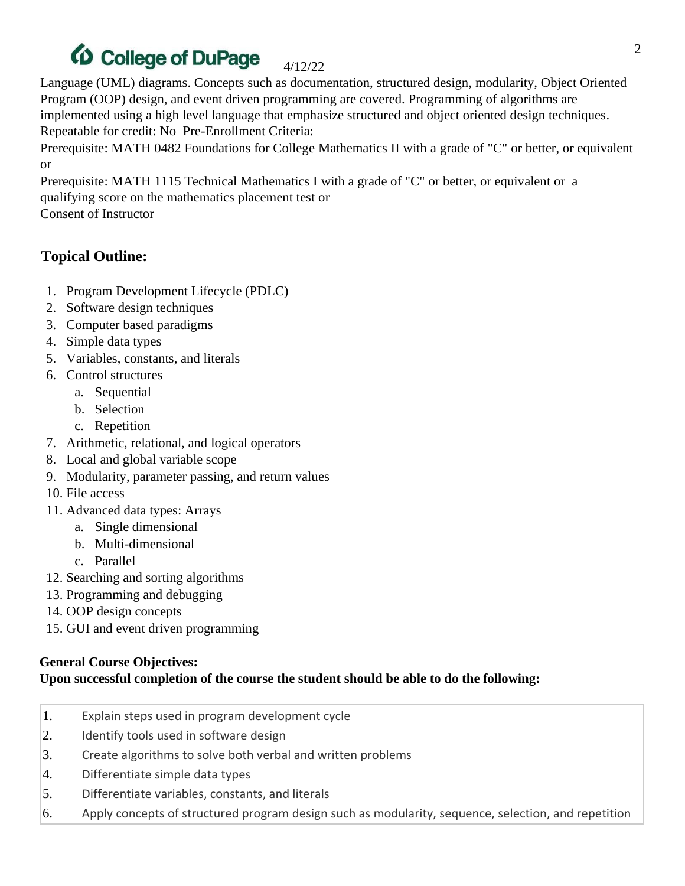### **D** College of DuPage 4/12/22

Language (UML) diagrams. Concepts such as documentation, structured design, modularity, Object Oriented Program (OOP) design, and event driven programming are covered. Programming of algorithms are implemented using a high level language that emphasize structured and object oriented design techniques. Repeatable for credit: No Pre-Enrollment Criteria:

Prerequisite: MATH 0482 Foundations for College Mathematics II with a grade of "C" or better, or equivalent or

Prerequisite: MATH 1115 Technical Mathematics I with a grade of "C" or better, or equivalent or a qualifying score on the mathematics placement test or

Consent of Instructor

## **Topical Outline:**

- 1. Program Development Lifecycle (PDLC)
- 2. Software design techniques
- 3. Computer based paradigms
- 4. Simple data types
- 5. Variables, constants, and literals
- 6. Control structures
	- a. Sequential
	- b. Selection
	- c. Repetition
- 7. Arithmetic, relational, and logical operators
- 8. Local and global variable scope
- 9. Modularity, parameter passing, and return values
- 10. File access
- 11. Advanced data types: Arrays
	- a. Single dimensional
	- b. Multi-dimensional
	- c. Parallel
- 12. Searching and sorting algorithms
- 13. Programming and debugging
- 14. OOP design concepts
- 15. GUI and event driven programming

### **General Course Objectives:**

### **Upon successful completion of the course the student should be able to do the following:**

- 1. Explain steps used in program development cycle
- 2. Identify tools used in software design
- 3. Create algorithms to solve both verbal and written problems
- 4. Differentiate simple data types
- 5. Differentiate variables, constants, and literals
- 6. Apply concepts of structured program design such as modularity, sequence, selection, and repetition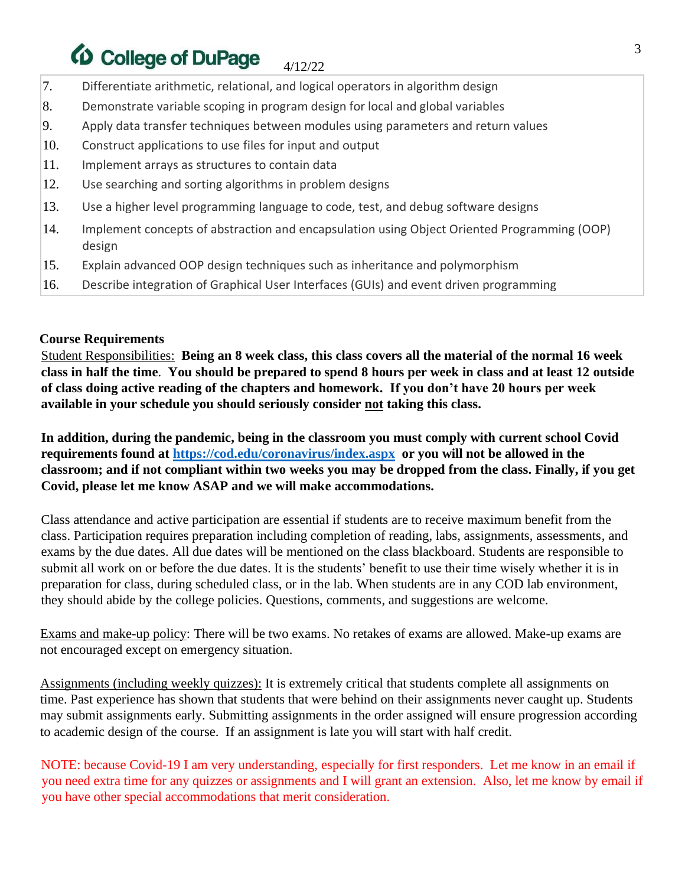### *(D* College of DuPage 4/12/22

- 7. Differentiate arithmetic, relational, and logical operators in algorithm design
- 8. Demonstrate variable scoping in program design for local and global variables
- 9. Apply data transfer techniques between modules using parameters and return values
- 10. Construct applications to use files for input and output
- 11. Implement arrays as structures to contain data
- 12. Use searching and sorting algorithms in problem designs
- 13. Use a higher level programming language to code, test, and debug software designs
- 14. Implement concepts of abstraction and encapsulation using Object Oriented Programming (OOP) design
- 15. Explain advanced OOP design techniques such as inheritance and polymorphism
- 16. Describe integration of Graphical User Interfaces (GUIs) and event driven programming

#### **Course Requirements**

Student Responsibilities: **Being an 8 week class, this class covers all the material of the normal 16 week class in half the time**. **You should be prepared to spend 8 hours per week in class and at least 12 outside of class doing active reading of the chapters and homework. If you don't have 20 hours per week available in your schedule you should seriously consider not taking this class.**

**In addition, during the pandemic, being in the classroom you must comply with current school Covid requirements found at<https://cod.edu/coronavirus/index.aspx> or you will not be allowed in the classroom; and if not compliant within two weeks you may be dropped from the class. Finally, if you get Covid, please let me know ASAP and we will make accommodations.**

Class attendance and active participation are essential if students are to receive maximum benefit from the class. Participation requires preparation including completion of reading, labs, assignments, assessments, and exams by the due dates. All due dates will be mentioned on the class blackboard. Students are responsible to submit all work on or before the due dates. It is the students' benefit to use their time wisely whether it is in preparation for class, during scheduled class, or in the lab. When students are in any COD lab environment, they should abide by the college policies. Questions, comments, and suggestions are welcome.

Exams and make-up policy: There will be two exams. No retakes of exams are allowed. Make-up exams are not encouraged except on emergency situation.

Assignments (including weekly quizzes): It is extremely critical that students complete all assignments on time. Past experience has shown that students that were behind on their assignments never caught up. Students may submit assignments early. Submitting assignments in the order assigned will ensure progression according to academic design of the course. If an assignment is late you will start with half credit.

NOTE: because Covid-19 I am very understanding, especially for first responders. Let me know in an email if you need extra time for any quizzes or assignments and I will grant an extension. Also, let me know by email if you have other special accommodations that merit consideration.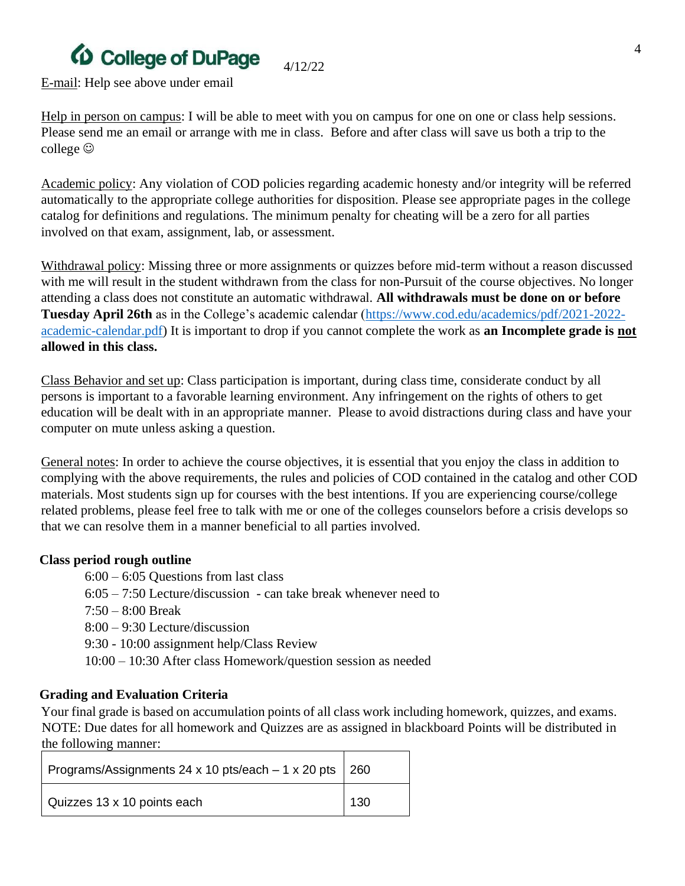# *(D* College of DuPage

E-mail: Help see above under email

Help in person on campus: I will be able to meet with you on campus for one on one or class help sessions. Please send me an email or arrange with me in class. Before and after class will save us both a trip to the college  $\odot$ 

4/12/22

Academic policy: Any violation of COD policies regarding academic honesty and/or integrity will be referred automatically to the appropriate college authorities for disposition. Please see appropriate pages in the college catalog for definitions and regulations. The minimum penalty for cheating will be a zero for all parties involved on that exam, assignment, lab, or assessment.

Withdrawal policy: Missing three or more assignments or quizzes before mid-term without a reason discussed with me will result in the student withdrawn from the class for non-Pursuit of the course objectives. No longer attending a class does not constitute an automatic withdrawal. **All withdrawals must be done on or before Tuesday April 26th** as in the College's academic calendar [\(https://www.cod.edu/academics/pdf/2021-2022](https://www.cod.edu/academics/pdf/2021-2022-academic-calendar.pdf) [academic-calendar.pdf\)](https://www.cod.edu/academics/pdf/2021-2022-academic-calendar.pdf) It is important to drop if you cannot complete the work as **an Incomplete grade is not allowed in this class.** 

Class Behavior and set up: Class participation is important, during class time, considerate conduct by all persons is important to a favorable learning environment. Any infringement on the rights of others to get education will be dealt with in an appropriate manner. Please to avoid distractions during class and have your computer on mute unless asking a question.

General notes: In order to achieve the course objectives, it is essential that you enjoy the class in addition to complying with the above requirements, the rules and policies of COD contained in the catalog and other COD materials. Most students sign up for courses with the best intentions. If you are experiencing course/college related problems, please feel free to talk with me or one of the colleges counselors before a crisis develops so that we can resolve them in a manner beneficial to all parties involved.

#### **Class period rough outline**

6:00 – 6:05 Questions from last class 6:05 – 7:50 Lecture/discussion - can take break whenever need to 7:50 – 8:00 Break 8:00 – 9:30 Lecture/discussion 9:30 - 10:00 assignment help/Class Review 10:00 – 10:30 After class Homework/question session as needed

### **Grading and Evaluation Criteria**

Your final grade is based on accumulation points of all class work including homework, quizzes, and exams. NOTE: Due dates for all homework and Quizzes are as assigned in blackboard Points will be distributed in the following manner:

| Programs/Assignments 24 x 10 pts/each - 1 x 20 pts   260 |     |
|----------------------------------------------------------|-----|
| Quizzes 13 x 10 points each                              | 130 |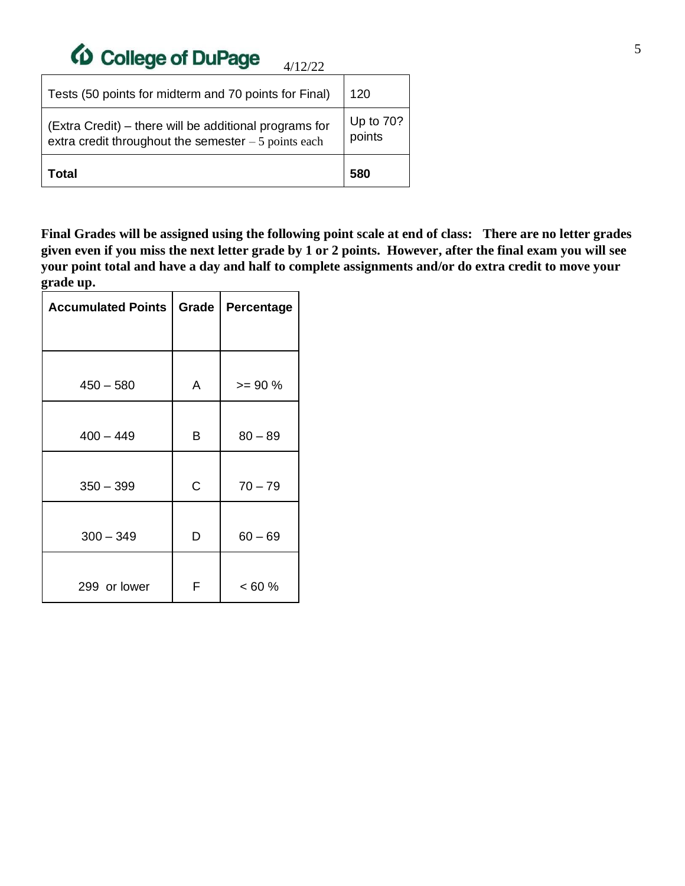# *(D* College of DuPage

| Total                                                                                                           | 580                   |
|-----------------------------------------------------------------------------------------------------------------|-----------------------|
| (Extra Credit) - there will be additional programs for<br>extra credit throughout the semester $-5$ points each | Up to $70?$<br>points |
| Tests (50 points for midterm and 70 points for Final)                                                           | 120                   |

**Final Grades will be assigned using the following point scale at end of class: There are no letter grades given even if you miss the next letter grade by 1 or 2 points. However, after the final exam you will see your point total and have a day and half to complete assignments and/or do extra credit to move your grade up.**

4/12/22

| <b>Accumulated Points</b> | Grade | Percentage |  |
|---------------------------|-------|------------|--|
|                           |       |            |  |
| $450 - 580$               | A     | $>= 90%$   |  |
| $400 - 449$               | B     | $80 - 89$  |  |
| $350 - 399$               | C     | $70 - 79$  |  |
| $300 - 349$               | D     | $60 - 69$  |  |
| 299 or lower              | F     | $< 60 \%$  |  |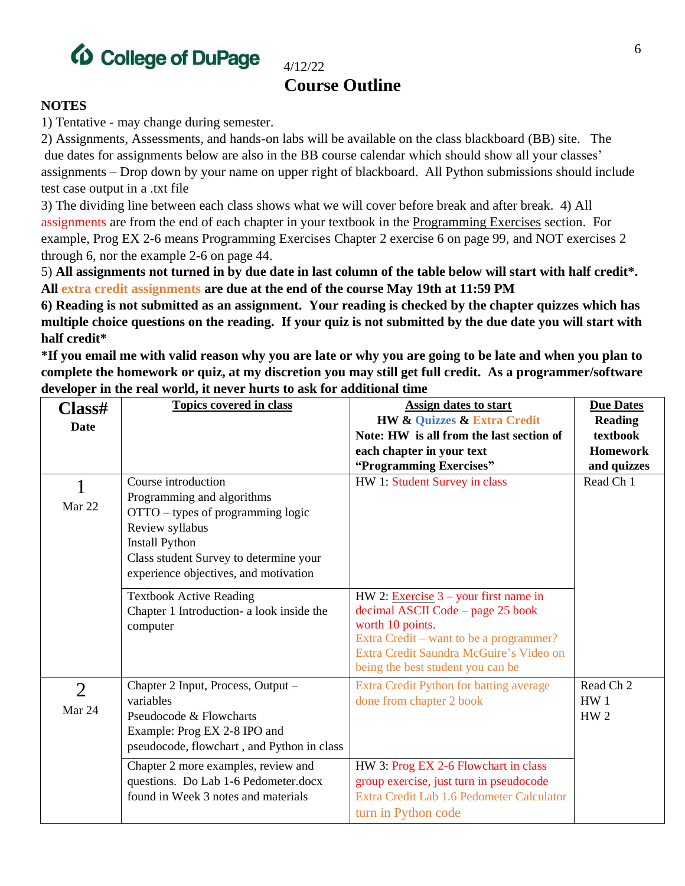

# **Course Outline**

4/12/22

#### **NOTES**

1) Tentative - may change during semester.

2) Assignments, Assessments, and hands-on labs will be available on the class blackboard (BB) site. The due dates for assignments below are also in the BB course calendar which should show all your classes' assignments – Drop down by your name on upper right of blackboard. All Python submissions should include test case output in a .txt file

3) The dividing line between each class shows what we will cover before break and after break. 4) All assignments are from the end of each chapter in your textbook in the Programming Exercises section. For example, Prog EX 2-6 means Programming Exercises Chapter 2 exercise 6 on page 99, and NOT exercises 2 through 6, nor the example 2-6 on page 44.

5) **All assignments not turned in by due date in last column of the table below will start with half credit\*. All extra credit assignments are due at the end of the course May 19th at 11:59 PM**

**6) Reading is not submitted as an assignment. Your reading is checked by the chapter quizzes which has multiple choice questions on the reading. If your quiz is not submitted by the due date you will start with half credit\***

**\*If you email me with valid reason why you are late or why you are going to be late and when you plan to complete the homework or quiz, at my discretion you may still get full credit. As a programmer/software developer in the real world, it never hurts to ask for additional time**

| Class#<br><b>Date</b>    | <b>Topics covered in class</b>                                                                                                                                                                                        | Assign dates to start<br><b>HW &amp; Quizzes &amp; Extra Credit</b><br>Note: HW is all from the last section of<br>each chapter in your text<br>"Programming Exercises"                                                     | <b>Due Dates</b><br><b>Reading</b><br>textbook<br><b>Homework</b><br>and quizzes |
|--------------------------|-----------------------------------------------------------------------------------------------------------------------------------------------------------------------------------------------------------------------|-----------------------------------------------------------------------------------------------------------------------------------------------------------------------------------------------------------------------------|----------------------------------------------------------------------------------|
| Mar 22                   | Course introduction<br>Programming and algorithms<br>OTTO – types of programming logic<br>Review syllabus<br><b>Install Python</b><br>Class student Survey to determine your<br>experience objectives, and motivation | HW 1: Student Survey in class                                                                                                                                                                                               | Read Ch 1                                                                        |
|                          | <b>Textbook Active Reading</b><br>Chapter 1 Introduction- a look inside the<br>computer                                                                                                                               | HW 2: Exercise $3$ – your first name in<br>decimal ASCII Code – page 25 book<br>worth 10 points.<br>Extra Credit – want to be a programmer?<br>Extra Credit Saundra McGuire's Video on<br>being the best student you can be |                                                                                  |
| $\overline{2}$<br>Mar 24 | Chapter 2 Input, Process, Output -<br>variables<br>Pseudocode & Flowcharts<br>Example: Prog EX 2-8 IPO and<br>pseudocode, flowchart, and Python in class                                                              | Extra Credit Python for batting average<br>done from chapter 2 book                                                                                                                                                         | Read Ch <sub>2</sub><br>HW1<br>HW <sub>2</sub>                                   |
|                          | Chapter 2 more examples, review and<br>questions. Do Lab 1-6 Pedometer.docx<br>found in Week 3 notes and materials                                                                                                    | HW 3: Prog EX 2-6 Flowchart in class<br>group exercise, just turn in pseudocode<br>Extra Credit Lab 1.6 Pedometer Calculator<br>turn in Python code                                                                         |                                                                                  |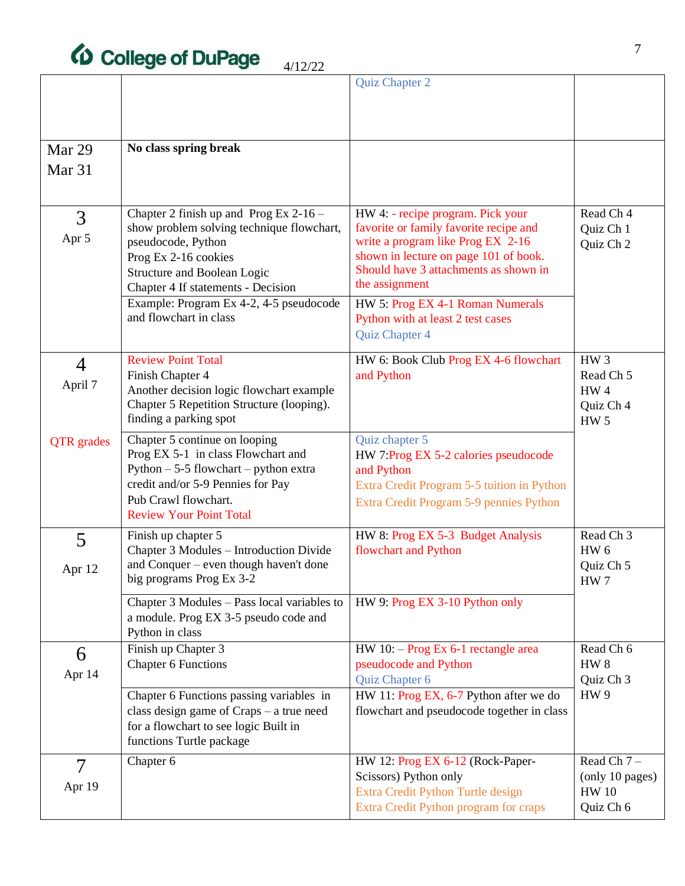# *(D* College of DuPage

|                   |                                                                                | Quiz Chapter 2                                                             |                                 |
|-------------------|--------------------------------------------------------------------------------|----------------------------------------------------------------------------|---------------------------------|
|                   |                                                                                |                                                                            |                                 |
|                   |                                                                                |                                                                            |                                 |
|                   |                                                                                |                                                                            |                                 |
| Mar 29            | No class spring break                                                          |                                                                            |                                 |
| Mar <sub>31</sub> |                                                                                |                                                                            |                                 |
|                   |                                                                                |                                                                            |                                 |
| 3                 | Chapter 2 finish up and Prog Ex $2-16$ –                                       | HW 4: - recipe program. Pick your                                          | Read Ch 4                       |
| Apr 5             | show problem solving technique flowchart,                                      | favorite or family favorite recipe and                                     | Quiz Ch 1                       |
|                   | pseudocode, Python                                                             | write a program like Prog EX 2-16<br>shown in lecture on page 101 of book. | Quiz Ch 2                       |
|                   | Prog Ex 2-16 cookies<br><b>Structure and Boolean Logic</b>                     | Should have 3 attachments as shown in                                      |                                 |
|                   | Chapter 4 If statements - Decision                                             | the assignment                                                             |                                 |
|                   | Example: Program Ex 4-2, 4-5 pseudocode                                        | HW 5: Prog EX 4-1 Roman Numerals                                           |                                 |
|                   | and flowchart in class                                                         | Python with at least 2 test cases                                          |                                 |
|                   |                                                                                | Quiz Chapter 4                                                             |                                 |
| $\overline{4}$    | <b>Review Point Total</b>                                                      | HW 6: Book Club Prog EX 4-6 flowchart                                      | HW <sub>3</sub>                 |
|                   | Finish Chapter 4                                                               | and Python                                                                 | Read Ch <sub>5</sub>            |
| April 7           | Another decision logic flowchart example                                       |                                                                            | HW4                             |
|                   | Chapter 5 Repetition Structure (looping).                                      |                                                                            | Quiz Ch 4                       |
|                   | finding a parking spot                                                         |                                                                            | <b>HW 5</b>                     |
| <b>QTR</b> grades | Chapter 5 continue on looping                                                  | Quiz chapter 5                                                             |                                 |
|                   | Prog EX 5-1 in class Flowchart and<br>Python $-5-5$ flowchart $-$ python extra | HW 7:Prog EX 5-2 calories pseudocode<br>and Python                         |                                 |
|                   | credit and/or 5-9 Pennies for Pay                                              | Extra Credit Program 5-5 tuition in Python                                 |                                 |
|                   | Pub Crawl flowchart.                                                           | Extra Credit Program 5-9 pennies Python                                    |                                 |
|                   | <b>Review Your Point Total</b>                                                 |                                                                            |                                 |
| 5                 | Finish up chapter 5                                                            | HW 8: Prog EX 5-3 Budget Analysis                                          | Read Ch <sub>3</sub>            |
|                   | Chapter 3 Modules - Introduction Divide                                        | flowchart and Python                                                       | HW <sub>6</sub>                 |
| Apr 12            | and Conquer – even though haven't done<br>big programs Prog Ex 3-2             |                                                                            | Quiz Ch 5                       |
|                   |                                                                                |                                                                            | HW <sub>7</sub>                 |
|                   | Chapter 3 Modules - Pass local variables to                                    | HW 9: Prog EX 3-10 Python only                                             |                                 |
|                   | a module. Prog EX 3-5 pseudo code and<br>Python in class                       |                                                                            |                                 |
|                   | Finish up Chapter 3                                                            | HW 10: - Prog Ex 6-1 rectangle area                                        | Read Ch 6                       |
| 6                 | <b>Chapter 6 Functions</b>                                                     | pseudocode and Python                                                      | HW <sub>8</sub>                 |
| Apr 14            |                                                                                | Quiz Chapter 6                                                             | Quiz Ch 3                       |
|                   | Chapter 6 Functions passing variables in                                       | HW 11: Prog EX, 6-7 Python after we do                                     | HW <sub>9</sub>                 |
|                   | class design game of $Craps - a$ true need                                     | flowchart and pseudocode together in class                                 |                                 |
|                   | for a flowchart to see logic Built in                                          |                                                                            |                                 |
|                   | functions Turtle package                                                       |                                                                            |                                 |
| $\overline{7}$    | Chapter 6                                                                      | HW 12: Prog EX 6-12 (Rock-Paper-                                           | Read Ch $7-$                    |
| Apr 19            |                                                                                | Scissors) Python only<br>Extra Credit Python Turtle design                 | (only 10 pages)<br><b>HW 10</b> |
|                   |                                                                                | Extra Credit Python program for craps                                      | Quiz Ch 6                       |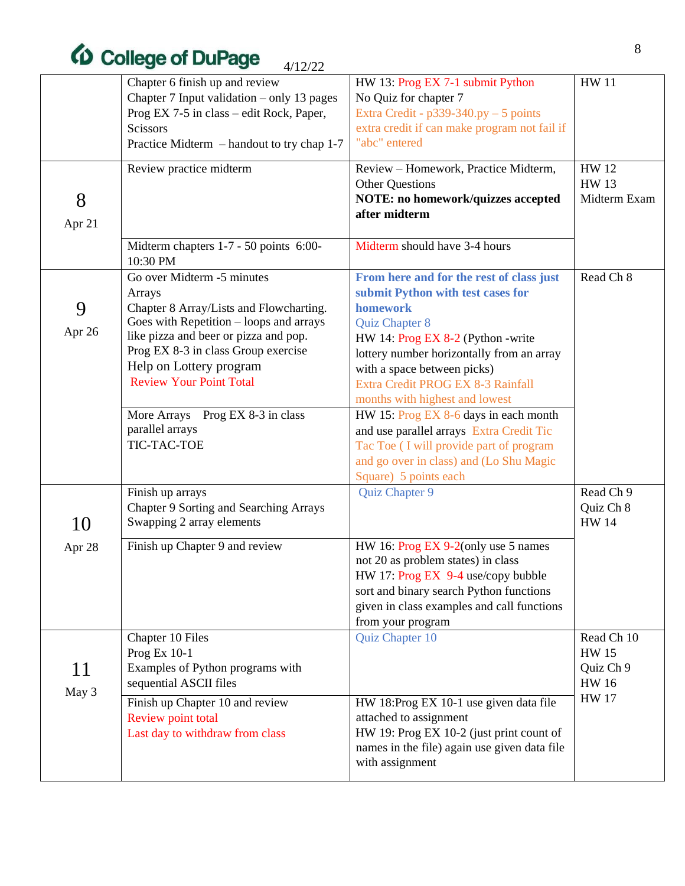# $\omega$  College of DuPage  $4/12/22$

|        | Chapter 6 finish up and review                            | HW 13: Prog EX 7-1 submit Python                                                  | <b>HW 11</b> |
|--------|-----------------------------------------------------------|-----------------------------------------------------------------------------------|--------------|
|        | Chapter 7 Input validation – only 13 pages                | No Quiz for chapter 7                                                             |              |
|        | Prog EX 7-5 in class – edit Rock, Paper,                  | Extra Credit - $p339-340.py - 5$ points                                           |              |
|        | Scissors                                                  | extra credit if can make program not fail if                                      |              |
|        | Practice Midterm – handout to try chap 1-7                | "abc" entered                                                                     |              |
|        | Review practice midterm                                   | Review – Homework, Practice Midterm,                                              | <b>HW12</b>  |
|        |                                                           | <b>Other Questions</b>                                                            | <b>HW13</b>  |
| 8      |                                                           | NOTE: no homework/quizzes accepted                                                | Midterm Exam |
| Apr 21 |                                                           | after midterm                                                                     |              |
|        |                                                           |                                                                                   |              |
|        | Midterm chapters 1-7 - 50 points 6:00-<br>10:30 PM        | Midterm should have 3-4 hours                                                     |              |
|        | Go over Midterm -5 minutes                                | From here and for the rest of class just                                          | Read Ch 8    |
|        | Arrays                                                    | submit Python with test cases for                                                 |              |
| 9      | Chapter 8 Array/Lists and Flowcharting.                   | homework                                                                          |              |
| Apr 26 | Goes with Repetition $-$ loops and arrays                 | Quiz Chapter 8                                                                    |              |
|        | like pizza and beer or pizza and pop.                     | HW 14: Prog EX 8-2 (Python - write                                                |              |
|        | Prog EX 8-3 in class Group exercise                       | lottery number horizontally from an array                                         |              |
|        | Help on Lottery program<br><b>Review Your Point Total</b> | with a space between picks)                                                       |              |
|        |                                                           | Extra Credit PROG EX 8-3 Rainfall                                                 |              |
|        |                                                           | months with highest and lowest                                                    |              |
|        | More Arrays Prog EX 8-3 in class<br>parallel arrays       | HW 15: Prog EX 8-6 days in each month<br>and use parallel arrays Extra Credit Tic |              |
|        | TIC-TAC-TOE                                               | Tac Toe (I will provide part of program                                           |              |
|        |                                                           | and go over in class) and (Lo Shu Magic                                           |              |
|        |                                                           | Square) 5 points each                                                             |              |
|        | Finish up arrays                                          | Quiz Chapter 9                                                                    | Read Ch 9    |
|        | Chapter 9 Sorting and Searching Arrays                    |                                                                                   | Quiz Ch 8    |
| 10     | Swapping 2 array elements                                 |                                                                                   | <b>HW 14</b> |
|        |                                                           |                                                                                   |              |
| Apr 28 | Finish up Chapter 9 and review                            | HW 16: Prog EX 9-2(only use 5 names<br>not 20 as problem states) in class         |              |
|        |                                                           | HW 17: Prog EX 9-4 use/copy bubble                                                |              |
|        |                                                           | sort and binary search Python functions                                           |              |
|        |                                                           | given in class examples and call functions                                        |              |
|        |                                                           | from your program                                                                 |              |
|        | Chapter 10 Files                                          | Quiz Chapter 10                                                                   | Read Ch 10   |
|        | Prog Ex 10-1                                              |                                                                                   | <b>HW15</b>  |
| 11     | Examples of Python programs with                          |                                                                                   | Quiz Ch 9    |
|        | sequential ASCII files                                    |                                                                                   | <b>HW16</b>  |
| May 3  | Finish up Chapter 10 and review                           | HW 18:Prog EX 10-1 use given data file                                            | <b>HW 17</b> |
|        | Review point total                                        | attached to assignment                                                            |              |
|        | Last day to withdraw from class                           | HW 19: Prog EX 10-2 (just print count of                                          |              |
|        |                                                           | names in the file) again use given data file                                      |              |
|        |                                                           | with assignment                                                                   |              |
|        |                                                           |                                                                                   |              |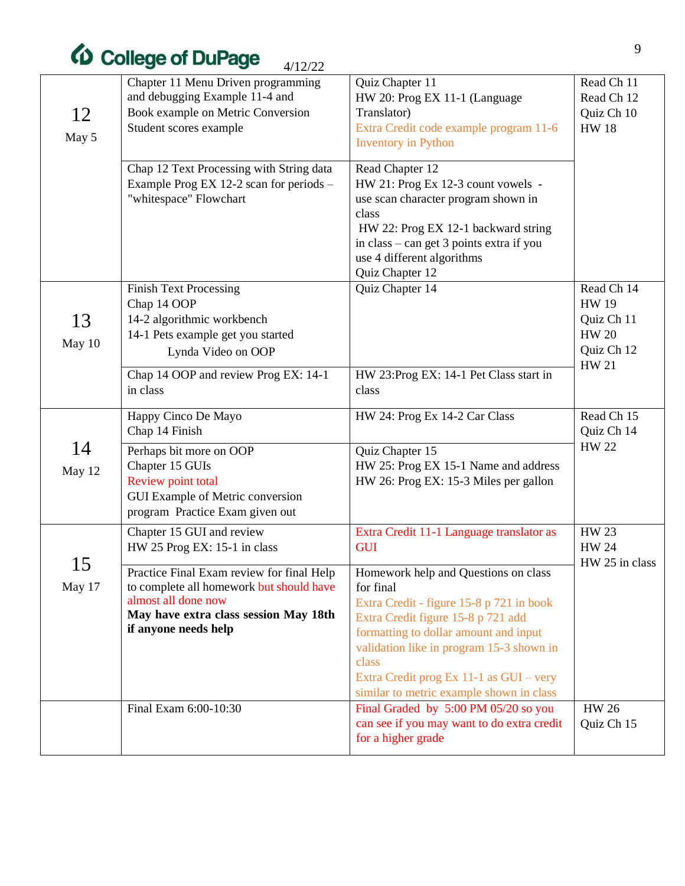# *(b)* College of DuPage

|              | <b>ED College of DuPage</b><br>4/12/22                                                                                                                                        |                                                                                                                                                                                                                                                                                                                          |                                                                                        |
|--------------|-------------------------------------------------------------------------------------------------------------------------------------------------------------------------------|--------------------------------------------------------------------------------------------------------------------------------------------------------------------------------------------------------------------------------------------------------------------------------------------------------------------------|----------------------------------------------------------------------------------------|
| 12<br>May 5  | Chapter 11 Menu Driven programming<br>and debugging Example 11-4 and<br>Book example on Metric Conversion<br>Student scores example                                           | Quiz Chapter 11<br>HW 20: Prog EX 11-1 (Language<br>Translator)<br>Extra Credit code example program 11-6<br><b>Inventory</b> in Python                                                                                                                                                                                  | Read Ch 11<br>Read Ch 12<br>Quiz Ch 10<br><b>HW18</b>                                  |
|              | Chap 12 Text Processing with String data<br>Example Prog EX 12-2 scan for periods -<br>"whitespace" Flowchart                                                                 | Read Chapter 12<br>HW 21: Prog Ex 12-3 count vowels -<br>use scan character program shown in<br>class<br>HW 22: Prog EX 12-1 backward string<br>in class – can get 3 points extra if you<br>use 4 different algorithms<br>Quiz Chapter 12                                                                                |                                                                                        |
| 13<br>May 10 | <b>Finish Text Processing</b><br>Chap 14 OOP<br>14-2 algorithmic workbench<br>14-1 Pets example get you started<br>Lynda Video on OOP                                         | Quiz Chapter 14                                                                                                                                                                                                                                                                                                          | Read Ch 14<br><b>HW 19</b><br>Quiz Ch 11<br><b>HW 20</b><br>Quiz Ch 12<br><b>HW 21</b> |
|              | Chap 14 OOP and review Prog EX: 14-1<br>in class                                                                                                                              | HW 23:Prog EX: 14-1 Pet Class start in<br>class                                                                                                                                                                                                                                                                          |                                                                                        |
|              | Happy Cinco De Mayo<br>Chap 14 Finish                                                                                                                                         | HW 24: Prog Ex 14-2 Car Class                                                                                                                                                                                                                                                                                            | Read Ch 15<br>Quiz Ch 14                                                               |
| 14<br>May 12 | Perhaps bit more on OOP<br>Chapter 15 GUIs<br>Review point total<br>GUI Example of Metric conversion<br>program Practice Exam given out                                       | Quiz Chapter 15<br>HW 25: Prog EX 15-1 Name and address<br>HW 26: Prog EX: 15-3 Miles per gallon                                                                                                                                                                                                                         | <b>HW 22</b>                                                                           |
|              | Chapter 15 GUI and review<br>HW 25 Prog EX: 15-1 in class                                                                                                                     | Extra Credit 11-1 Language translator as<br><b>GUI</b>                                                                                                                                                                                                                                                                   | <b>HW 23</b><br>HW 24<br>HW 25 in class                                                |
| 15<br>May 17 | Practice Final Exam review for final Help<br>to complete all homework but should have<br>almost all done now<br>May have extra class session May 18th<br>if anyone needs help | Homework help and Questions on class<br>for final<br>Extra Credit - figure 15-8 p 721 in book<br>Extra Credit figure 15-8 p 721 add<br>formatting to dollar amount and input<br>validation like in program 15-3 shown in<br>class<br>Extra Credit prog Ex 11-1 as GUI - very<br>similar to metric example shown in class |                                                                                        |
|              | Final Exam 6:00-10:30                                                                                                                                                         | Final Graded by 5:00 PM 05/20 so you<br>can see if you may want to do extra credit<br>for a higher grade                                                                                                                                                                                                                 | <b>HW 26</b><br>Quiz Ch 15                                                             |
|              |                                                                                                                                                                               |                                                                                                                                                                                                                                                                                                                          |                                                                                        |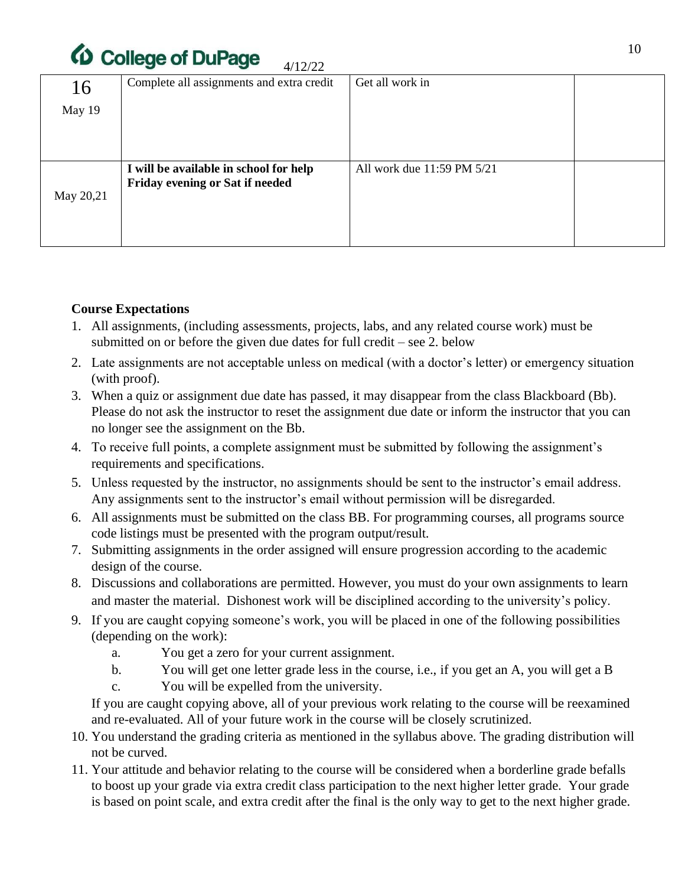

| 16        | Complete all assignments and extra credit                                 | Get all work in            |  |
|-----------|---------------------------------------------------------------------------|----------------------------|--|
| May 19    |                                                                           |                            |  |
|           |                                                                           |                            |  |
|           |                                                                           |                            |  |
| May 20,21 | I will be available in school for help<br>Friday evening or Sat if needed | All work due 11:59 PM 5/21 |  |

### **Course Expectations**

- 1. All assignments, (including assessments, projects, labs, and any related course work) must be submitted on or before the given due dates for full credit – see 2. below
- 2. Late assignments are not acceptable unless on medical (with a doctor's letter) or emergency situation (with proof).
- 3. When a quiz or assignment due date has passed, it may disappear from the class Blackboard (Bb). Please do not ask the instructor to reset the assignment due date or inform the instructor that you can no longer see the assignment on the Bb.
- 4. To receive full points, a complete assignment must be submitted by following the assignment's requirements and specifications.
- 5. Unless requested by the instructor, no assignments should be sent to the instructor's email address. Any assignments sent to the instructor's email without permission will be disregarded.
- 6. All assignments must be submitted on the class BB. For programming courses, all programs source code listings must be presented with the program output/result.
- 7. Submitting assignments in the order assigned will ensure progression according to the academic design of the course.
- 8. Discussions and collaborations are permitted. However, you must do your own assignments to learn and master the material. Dishonest work will be disciplined according to the university's policy.
- 9. If you are caught copying someone's work, you will be placed in one of the following possibilities (depending on the work):
	- a. You get a zero for your current assignment.
	- b. You will get one letter grade less in the course, i.e., if you get an A, you will get a B
	- c. You will be expelled from the university.

If you are caught copying above, all of your previous work relating to the course will be reexamined and re-evaluated. All of your future work in the course will be closely scrutinized.

- 10. You understand the grading criteria as mentioned in the syllabus above. The grading distribution will not be curved.
- 11. Your attitude and behavior relating to the course will be considered when a borderline grade befalls to boost up your grade via extra credit class participation to the next higher letter grade. Your grade is based on point scale, and extra credit after the final is the only way to get to the next higher grade.